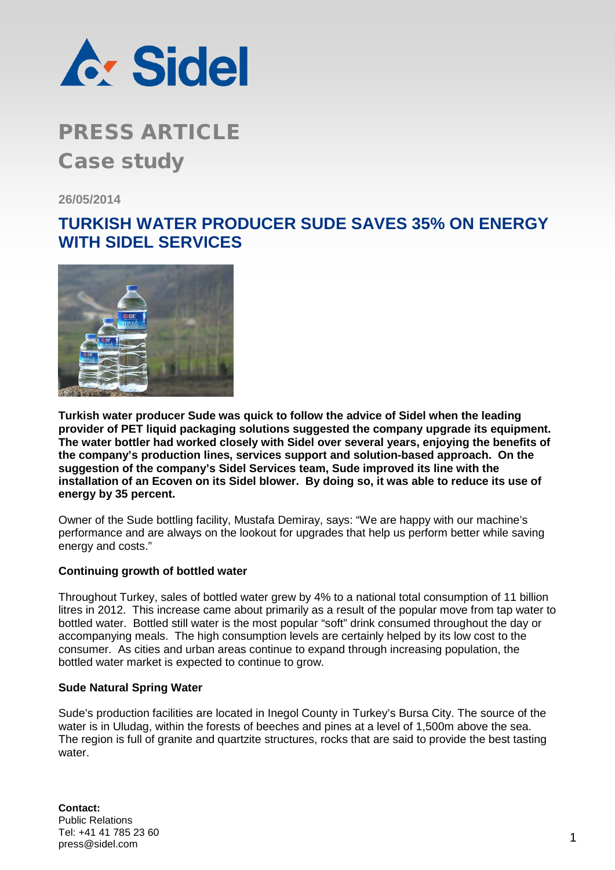

# **PRESS ARTICLE** Case study

**26/05/2014**

## **TURKISH WATER PRODUCER SUDE SAVES 35% ON ENERGY WITH SIDEL SERVICES**



**Turkish water producer Sude was quick to follow the advice of Sidel when the leading provider of PET liquid packaging solutions suggested the company upgrade its equipment. The water bottler had worked closely with Sidel over several years, enjoying the benefits of the company's production lines, services support and solution-based approach. On the suggestion of the company's Sidel Services team, Sude improved its line with the installation of an Ecoven on its Sidel blower. By doing so, it was able to reduce its use of energy by 35 percent.**

Owner of the Sude bottling facility, Mustafa Demiray, says: "We are happy with our machine's performance and are always on the lookout for upgrades that help us perform better while saving energy and costs."

### **Continuing growth of bottled water**

Throughout Turkey, sales of bottled water grew by 4% to a national total consumption of 11 billion litres in 2012. This increase came about primarily as a result of the popular move from tap water to bottled water. Bottled still water is the most popular "soft" drink consumed throughout the day or accompanying meals. The high consumption levels are certainly helped by its low cost to the consumer. As cities and urban areas continue to expand through increasing population, the bottled water market is expected to continue to grow.

### **Sude Natural Spring Water**

Sude's production facilities are located in Inegol County in Turkey's Bursa City. The source of the water is in Uludag, within the forests of beeches and pines at a level of 1,500m above the sea. The region is full of granite and quartzite structures, rocks that are said to provide the best tasting water

**Contact:** Public Relations Tel: +41 41 785 23 60 nei. +41 41 765 23 60<br>press@sidel.com 1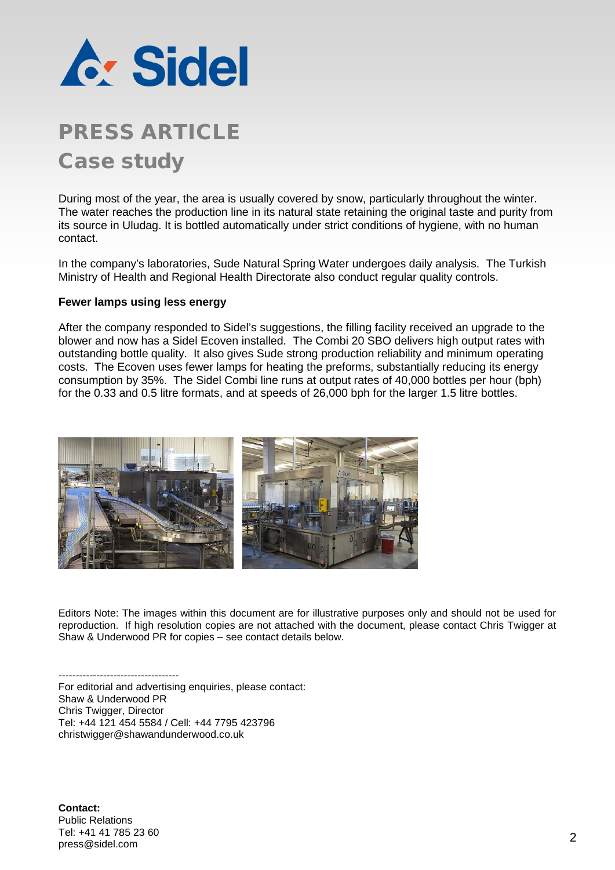

# PRESS ARTICLE Case study

During most of the year, the area is usually covered by snow, particularly throughout the winter. The water reaches the production line in its natural state retaining the original taste and purity from its source in Uludag. It is bottled automatically under strict conditions of hygiene, with no human contact.

In the company's laboratories, Sude Natural Spring Water undergoes daily analysis. The Turkish Ministry of Health and Regional Health Directorate also conduct regular quality controls.

#### **Fewer lamps using less energy**

After the company responded to Sidel's suggestions, the filling facility received an upgrade to the blower and now has a Sidel Ecoven installed. The Combi 20 SBO delivers high output rates with outstanding bottle quality. It also gives Sude strong production reliability and minimum operating costs. The Ecoven uses fewer lamps for heating the preforms, substantially reducing its energy consumption by 35%. The Sidel Combi line runs at output rates of 40,000 bottles per hour (bph) for the 0.33 and 0.5 litre formats, and at speeds of 26,000 bph for the larger 1.5 litre bottles.



Editors Note: The images within this document are for illustrative purposes only and should not be used for reproduction. If high resolution copies are not attached with the document, please contact Chris Twigger at Shaw & Underwood PR for copies – see contact details below.

----------------------------------- For editorial and advertising enquiries, please contact: Shaw & Underwood PR Chris Twigger, Director Tel: +44 121 454 5584 / Cell: +44 7795 423796 christwigger@shawandunderwood.co.uk

**Contact:** Public Relations Tel: +41 41 785 23 60 nei. +41 41 765 23 60<br>press@sidel.com 22